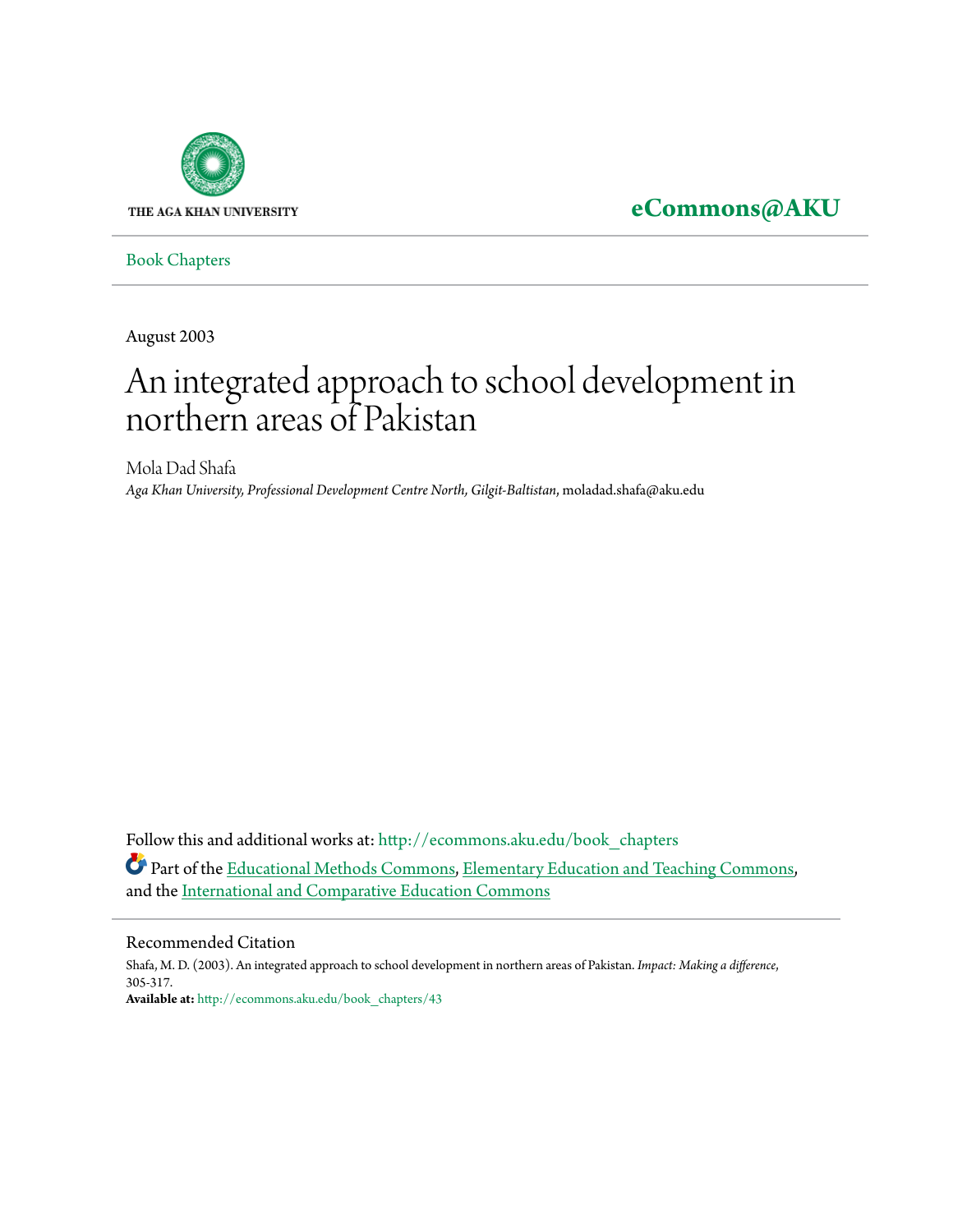

**[eCommons@AKU](http://ecommons.aku.edu?utm_source=ecommons.aku.edu%2Fbook_chapters%2F43&utm_medium=PDF&utm_campaign=PDFCoverPages)**

[Book Chapters](http://ecommons.aku.edu/book_chapters?utm_source=ecommons.aku.edu%2Fbook_chapters%2F43&utm_medium=PDF&utm_campaign=PDFCoverPages)

August 2003

# An integrated approach to school development in northern areas of Pakistan

Mola Dad Shafa *Aga Khan University, Professional Development Centre North, Gilgit-Baltistan*, moladad.shafa@aku.edu

Follow this and additional works at: [http://ecommons.aku.edu/book\\_chapters](http://ecommons.aku.edu/book_chapters?utm_source=ecommons.aku.edu%2Fbook_chapters%2F43&utm_medium=PDF&utm_campaign=PDFCoverPages) Part of the [Educational Methods Commons,](http://network.bepress.com/hgg/discipline/1227?utm_source=ecommons.aku.edu%2Fbook_chapters%2F43&utm_medium=PDF&utm_campaign=PDFCoverPages) [Elementary Education and Teaching Commons](http://network.bepress.com/hgg/discipline/805?utm_source=ecommons.aku.edu%2Fbook_chapters%2F43&utm_medium=PDF&utm_campaign=PDFCoverPages), and the [International and Comparative Education Commons](http://network.bepress.com/hgg/discipline/797?utm_source=ecommons.aku.edu%2Fbook_chapters%2F43&utm_medium=PDF&utm_campaign=PDFCoverPages)

#### Recommended Citation

Shafa, M. D. (2003). An integrated approach to school development in northern areas of Pakistan. *Impact: Making a difference*, 305-317. **Available at:** [http://ecommons.aku.edu/book\\_chapters/43](http://ecommons.aku.edu/book_chapters/43)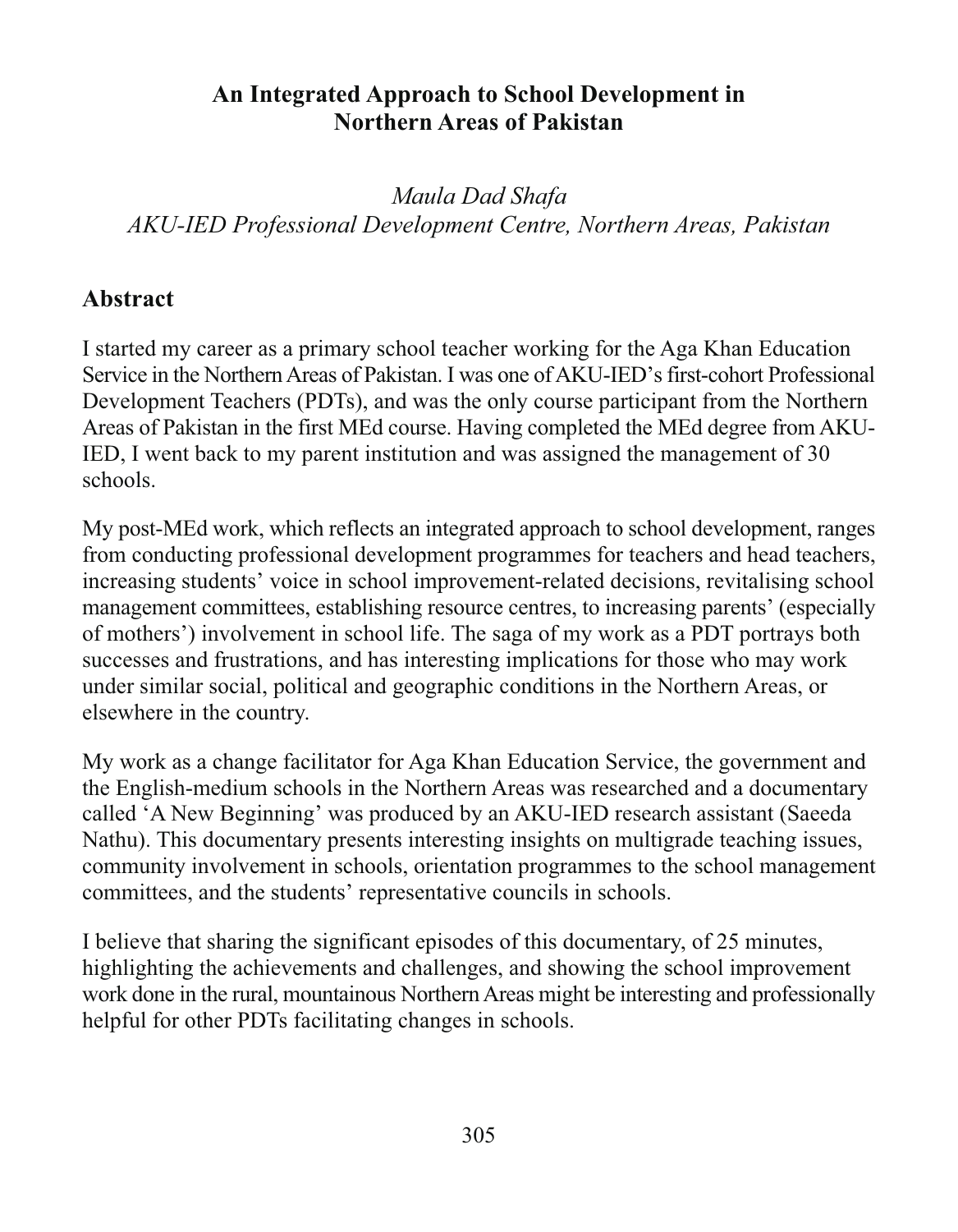## An Integrated Approach to School Development in **Northern Areas of Pakistan**

Maula Dad Shafa AKU-IED Professional Development Centre, Northern Areas, Pakistan

#### **Abstract**

I started my career as a primary school teacher working for the Aga Khan Education Service in the Northern Areas of Pakistan. I was one of AKU-IED's first-cohort Professional Development Teachers (PDTs), and was the only course participant from the Northern Areas of Pakistan in the first MEd course. Having completed the MEd degree from AKU-IED, I went back to my parent institution and was assigned the management of 30 schools.

My post-MEd work, which reflects an integrated approach to school development, ranges from conducting professional development programmes for teachers and head teachers, increasing students' voice in school improvement-related decisions, revitalising school management committees, establishing resource centres, to increasing parents' (especially of mothers') involvement in school life. The saga of my work as a PDT portrays both successes and frustrations, and has interesting implications for those who may work under similar social, political and geographic conditions in the Northern Areas, or elsewhere in the country.

My work as a change facilitator for Aga Khan Education Service, the government and the English-medium schools in the Northern Areas was researched and a documentary called 'A New Beginning' was produced by an AKU-IED research assistant (Saeeda) Nathu). This documentary presents interesting insights on multigrade teaching issues, community involvement in schools, orientation programmes to the school management committees, and the students' representative councils in schools.

I believe that sharing the significant episodes of this documentary, of 25 minutes, highlighting the achievements and challenges, and showing the school improvement work done in the rural, mountainous Northern Areas might be interesting and professionally helpful for other PDTs facilitating changes in schools.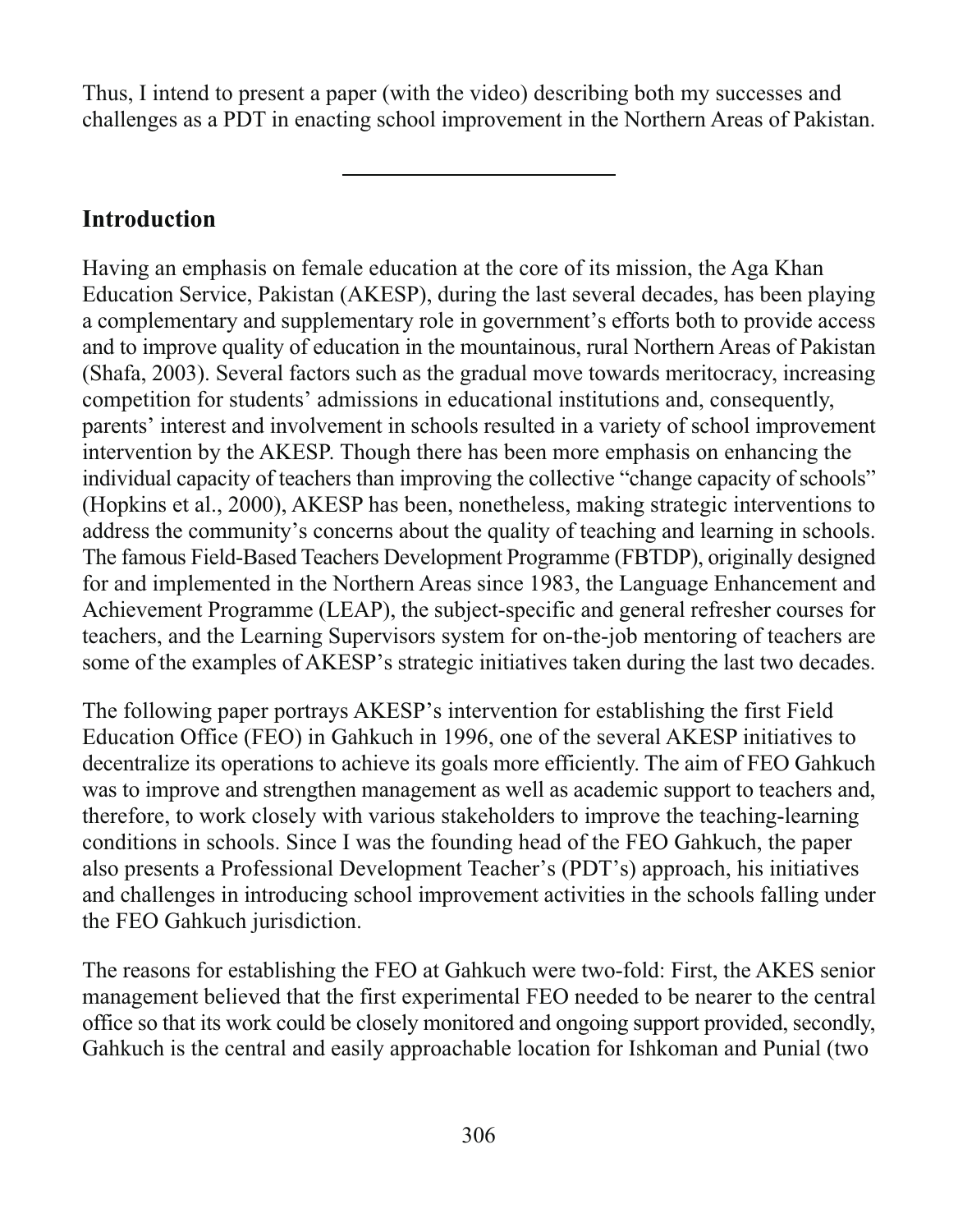Thus, I intend to present a paper (with the video) describing both my successes and challenges as a PDT in enacting school improvement in the Northern Areas of Pakistan.

## **Introduction**

Having an emphasis on female education at the core of its mission, the Aga Khan Education Service, Pakistan (AKESP), during the last several decades, has been playing a complementary and supplementary role in government's efforts both to provide access and to improve quality of education in the mountainous, rural Northern Areas of Pakistan (Shafa, 2003). Several factors such as the gradual move towards meritocracy, increasing competition for students' admissions in educational institutions and, consequently, parents' interest and involvement in schools resulted in a variety of school improvement intervention by the AKESP. Though there has been more emphasis on enhancing the individual capacity of teachers than improving the collective "change capacity of schools" (Hopkins et al., 2000), AKESP has been, nonetheless, making strategic interventions to address the community's concerns about the quality of teaching and learning in schools. The famous Field-Based Teachers Development Programme (FBTDP), originally designed for and implemented in the Northern Areas since 1983, the Language Enhancement and Achievement Programme (LEAP), the subject-specific and general refresher courses for teachers, and the Learning Supervisors system for on-the-job mentoring of teachers are some of the examples of AKESP's strategic initiatives taken during the last two decades.

The following paper portrays AKESP's intervention for establishing the first Field Education Office (FEO) in Gahkuch in 1996, one of the several AKESP initiatives to decentralize its operations to achieve its goals more efficiently. The aim of FEO Gahkuch was to improve and strengthen management as well as academic support to teachers and, therefore, to work closely with various stakeholders to improve the teaching-learning conditions in schools. Since I was the founding head of the FEO Gahkuch, the paper also presents a Professional Development Teacher's (PDT's) approach, his initiatives and challenges in introducing school improvement activities in the schools falling under the FEO Gahkuch jurisdiction.

The reasons for establishing the FEO at Gahkuch were two-fold: First, the AKES senior management believed that the first experimental FEO needed to be nearer to the central office so that its work could be closely monitored and ongoing support provided, secondly, Gahkuch is the central and easily approachable location for Ishkoman and Punial (two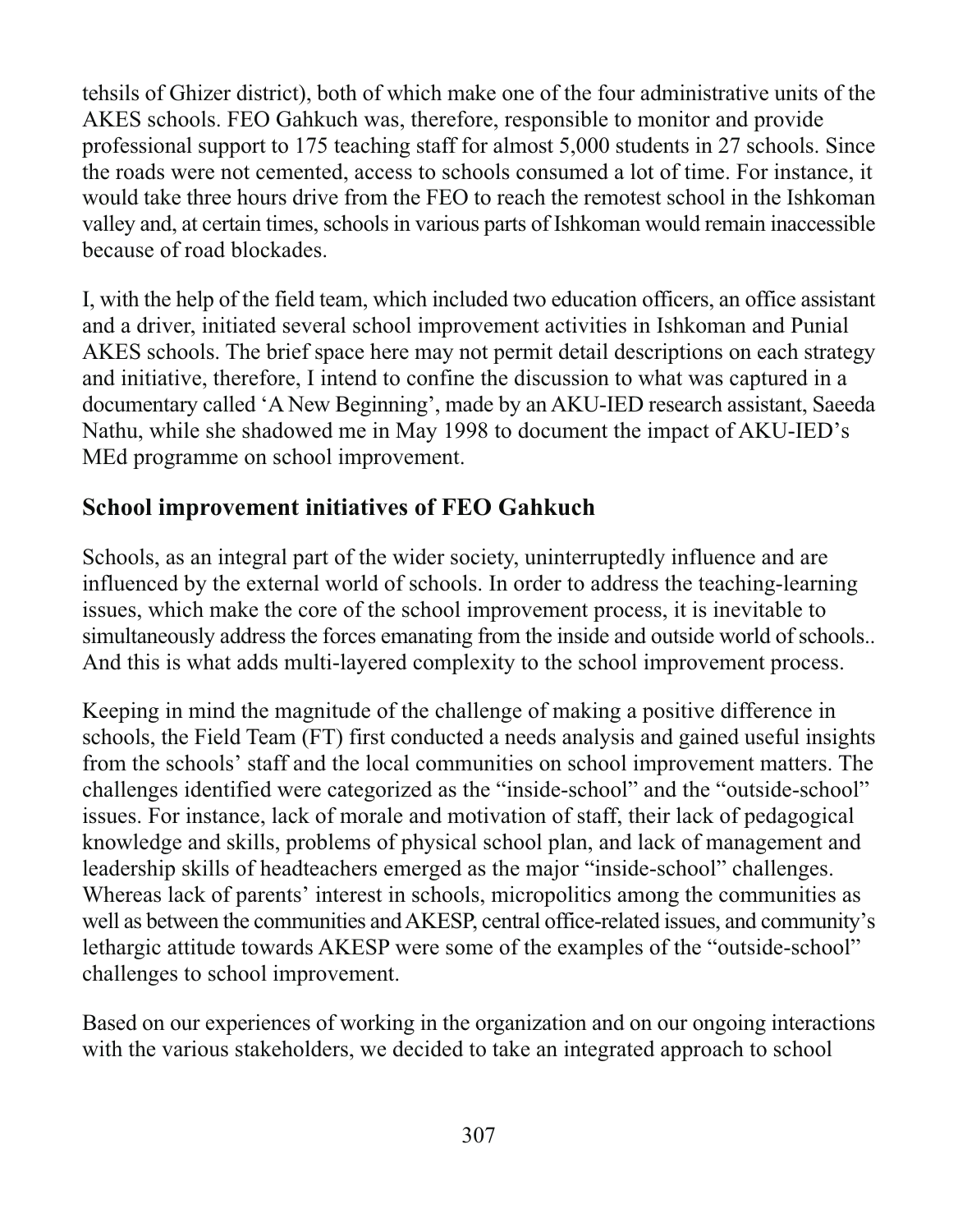tehsils of Ghizer district), both of which make one of the four administrative units of the AKES schools. FEO Gahkuch was, therefore, responsible to monitor and provide professional support to 175 teaching staff for almost 5,000 students in 27 schools. Since the roads were not cemented, access to schools consumed a lot of time. For instance, it would take three hours drive from the FEO to reach the remotest school in the Ishkoman valley and, at certain times, schools in various parts of Ishkoman would remain inaccessible because of road blockades.

I, with the help of the field team, which included two education officers, an office assistant and a driver, initiated several school improvement activities in Ishkoman and Punial AKES schools. The brief space here may not permit detail descriptions on each strategy and initiative, therefore, I intend to confine the discussion to what was captured in a documentary called 'A New Beginning', made by an AKU-IED research assistant, Saeeda Nathu, while she shadowed me in May 1998 to document the impact of AKU-IED's MEd programme on school improvement.

## **School improvement initiatives of FEO Gahkuch**

Schools, as an integral part of the wider society, uninterruptedly influence and are influenced by the external world of schools. In order to address the teaching-learning issues, which make the core of the school improvement process, it is inevitable to simultaneously address the forces emanating from the inside and outside world of schools... And this is what adds multi-layered complexity to the school improvement process.

Keeping in mind the magnitude of the challenge of making a positive difference in schools, the Field Team (FT) first conducted a needs analysis and gained useful insights from the schools' staff and the local communities on school improvement matters. The challenges identified were categorized as the "inside-school" and the "outside-school" issues. For instance, lack of morale and motivation of staff, their lack of pedagogical knowledge and skills, problems of physical school plan, and lack of management and leadership skills of headteachers emerged as the major "inside-school" challenges. Whereas lack of parents' interest in schools, micropolitics among the communities as well as between the communities and AKESP, central office-related issues, and community's lethargic attitude towards AKESP were some of the examples of the "outside-school" challenges to school improvement.

Based on our experiences of working in the organization and on our ongoing interactions with the various stakeholders, we decided to take an integrated approach to school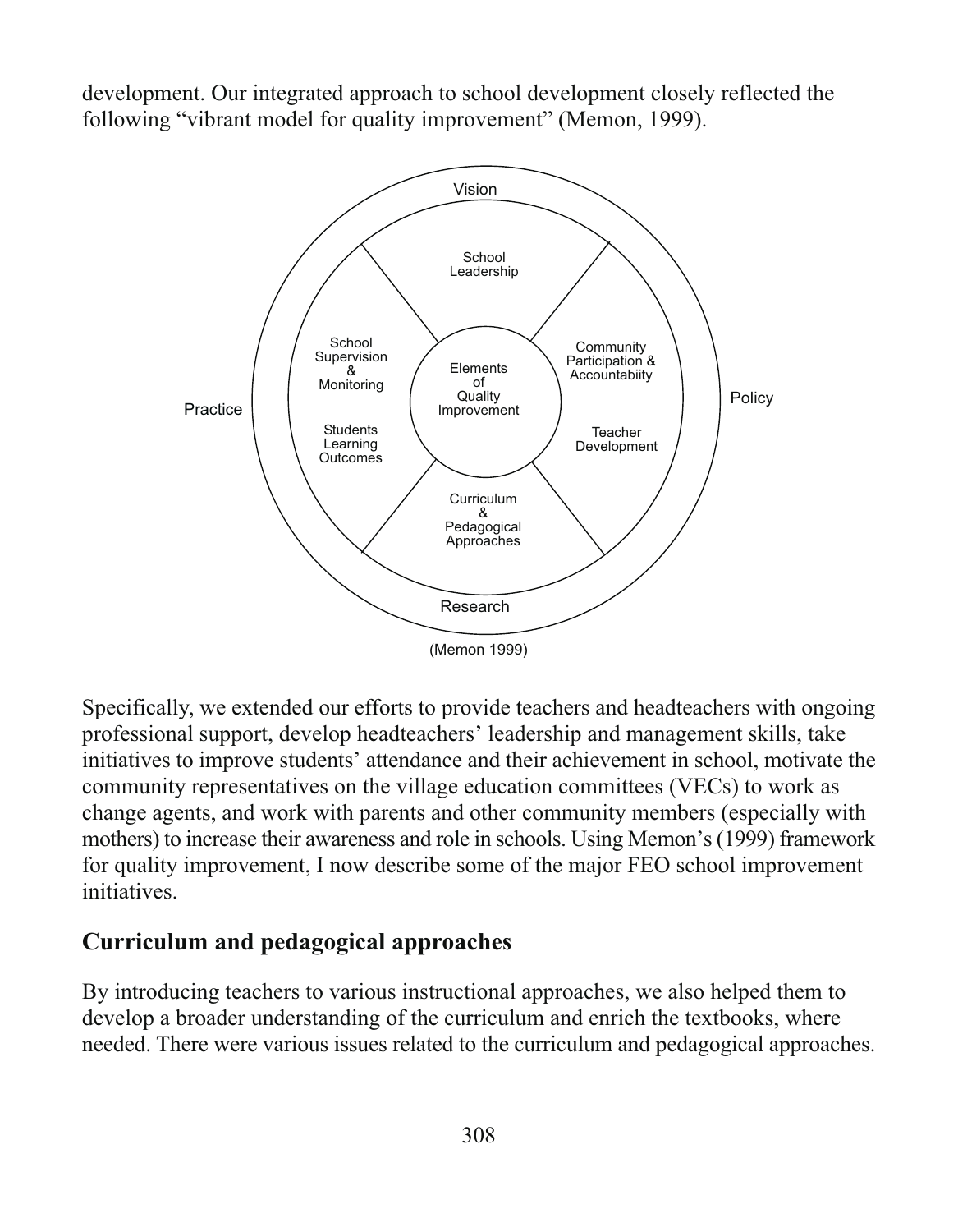development. Our integrated approach to school development closely reflected the following "vibrant model for quality improvement" (Memon, 1999).



Specifically, we extended our efforts to provide teachers and headteachers with ongoing professional support, develop headteachers' leadership and management skills, take initiatives to improve students' attendance and their achievement in school, motivate the community representatives on the village education committees (VECs) to work as change agents, and work with parents and other community members (especially with mothers) to increase their awareness and role in schools. Using Memon's (1999) framework for quality improvement, I now describe some of the major FEO school improvement initiatives

## Curriculum and pedagogical approaches

By introducing teachers to various instructional approaches, we also helped them to develop a broader understanding of the curriculum and enrich the textbooks, where needed. There were various issues related to the curriculum and pedagogical approaches.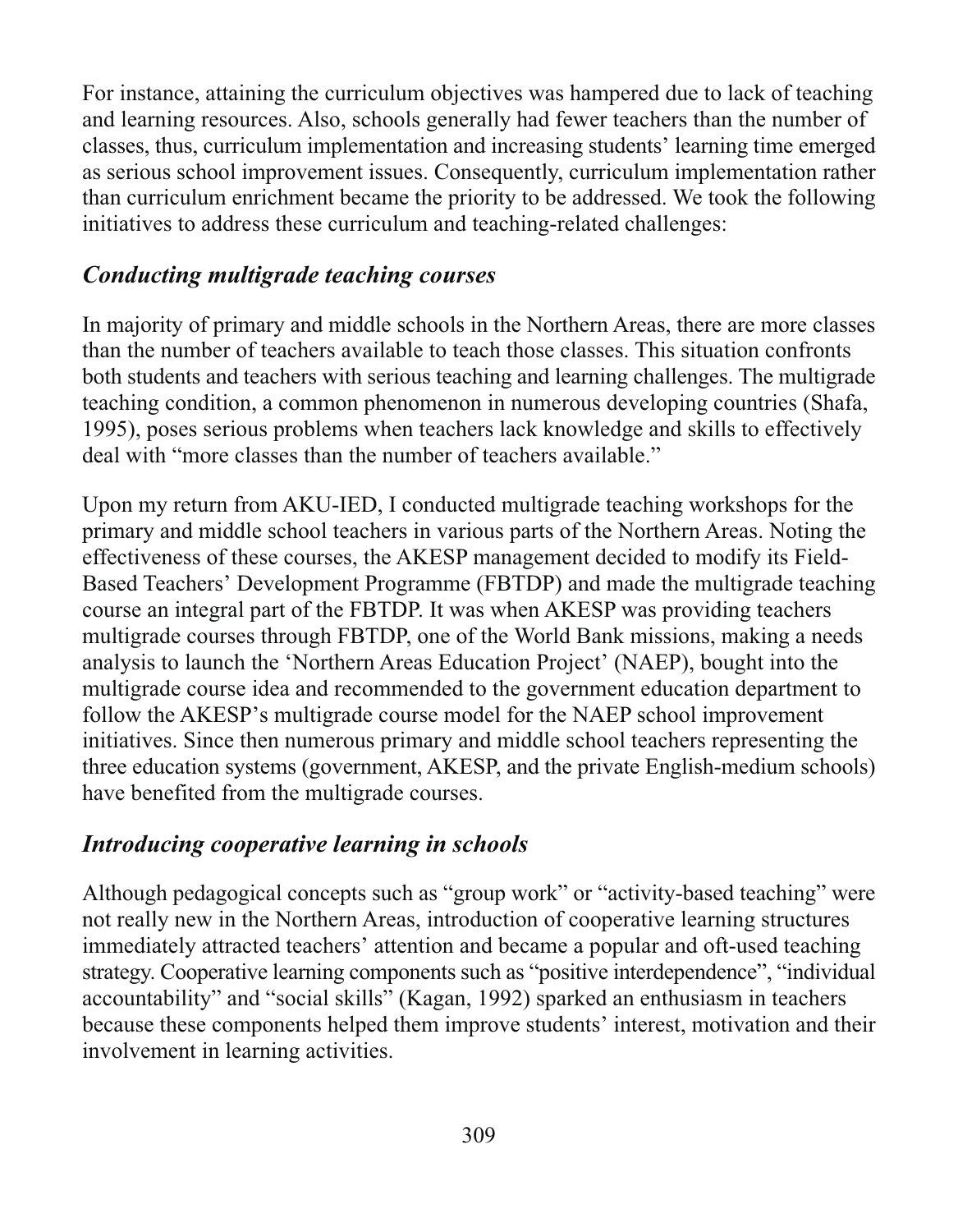For instance, attaining the curriculum objectives was hampered due to lack of teaching and learning resources. Also, schools generally had fewer teachers than the number of classes, thus, curriculum implementation and increasing students' learning time emerged as serious school improvement issues. Consequently, curriculum implementation rather than curriculum enrichment became the priority to be addressed. We took the following initiatives to address these curriculum and teaching-related challenges:

#### **Conducting multigrade teaching courses**

In majority of primary and middle schools in the Northern Areas, there are more classes than the number of teachers available to teach those classes. This situation confronts both students and teachers with serious teaching and learning challenges. The multigrade teaching condition, a common phenomenon in numerous developing countries (Shafa, 1995), poses serious problems when teachers lack knowledge and skills to effectively deal with "more classes than the number of teachers available."

Upon my return from AKU-IED, I conducted multigrade teaching workshops for the primary and middle school teachers in various parts of the Northern Areas. Noting the effectiveness of these courses, the AKESP management decided to modify its Field-Based Teachers' Development Programme (FBTDP) and made the multigrade teaching course an integral part of the FBTDP. It was when AKESP was providing teachers multigrade courses through FBTDP, one of the World Bank missions, making a needs analysis to launch the 'Northern Areas Education Project' (NAEP), bought into the multigrade course idea and recommended to the government education department to follow the AKESP's multigrade course model for the NAEP school improvement initiatives. Since then numerous primary and middle school teachers representing the three education systems (government, AKESP, and the private English-medium schools) have benefited from the multigrade courses.

#### Introducing cooperative learning in schools

Although pedagogical concepts such as "group work" or "activity-based teaching" were not really new in the Northern Areas, introduction of cooperative learning structures immediately attracted teachers' attention and became a popular and oft-used teaching strategy. Cooperative learning components such as "positive interdependence", "individual accountability" and "social skills" (Kagan, 1992) sparked an enthusiasm in teachers because these components helped them improve students' interest, motivation and their involvement in learning activities.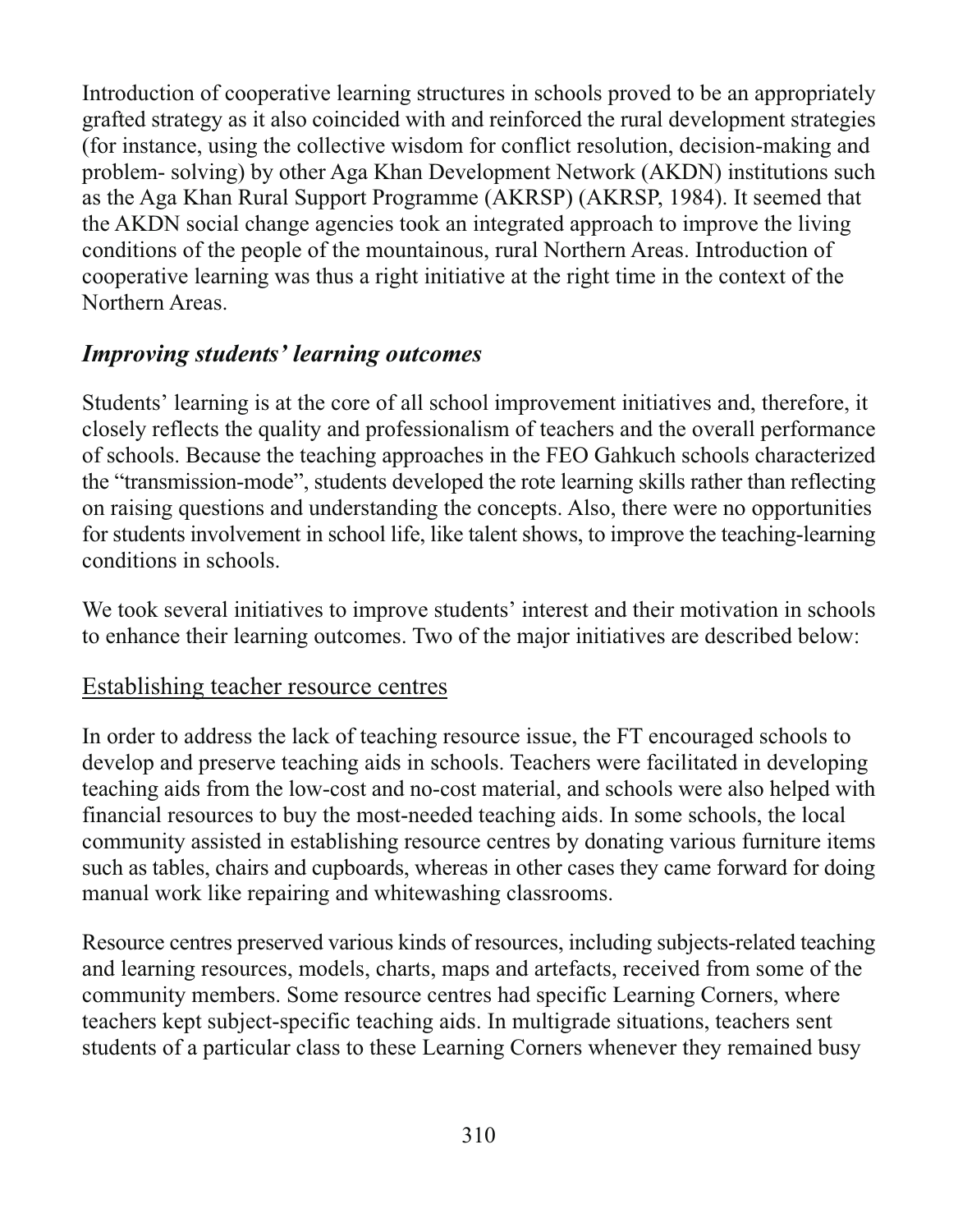Introduction of cooperative learning structures in schools proved to be an appropriately grafted strategy as it also coincided with and reinforced the rural development strategies (for instance, using the collective wisdom for conflict resolution, decision-making and problem- solving) by other Aga Khan Development Network (AKDN) institutions such as the Aga Khan Rural Support Programme (AKRSP) (AKRSP, 1984). It seemed that the AKDN social change agencies took an integrated approach to improve the living conditions of the people of the mountainous, rural Northern Areas. Introduction of cooperative learning was thus a right initiative at the right time in the context of the Northern Areas.

## **Improving students' learning outcomes**

Students' learning is at the core of all school improvement initiatives and, therefore, it closely reflects the quality and professionalism of teachers and the overall performance of schools. Because the teaching approaches in the FEO Gahkuch schools characterized the "transmission-mode", students developed the rote learning skills rather than reflecting on raising questions and understanding the concepts. Also, there were no opportunities for students involvement in school life, like talent shows, to improve the teaching-learning conditions in schools

We took several initiatives to improve students' interest and their motivation in schools to enhance their learning outcomes. Two of the major initiatives are described below:

#### Establishing teacher resource centres

In order to address the lack of teaching resource issue, the FT encouraged schools to develop and preserve teaching aids in schools. Teachers were facilitated in developing teaching aids from the low-cost and no-cost material, and schools were also helped with financial resources to buy the most-needed teaching aids. In some schools, the local community assisted in establishing resource centres by donating various furniture items such as tables, chairs and cupboards, whereas in other cases they came forward for doing manual work like repairing and whitewashing classrooms.

Resource centres preserved various kinds of resources, including subjects-related teaching and learning resources, models, charts, maps and artefacts, received from some of the community members. Some resource centres had specific Learning Corners, where teachers kept subject-specific teaching aids. In multigrade situations, teachers sent students of a particular class to these Learning Corners whenever they remained busy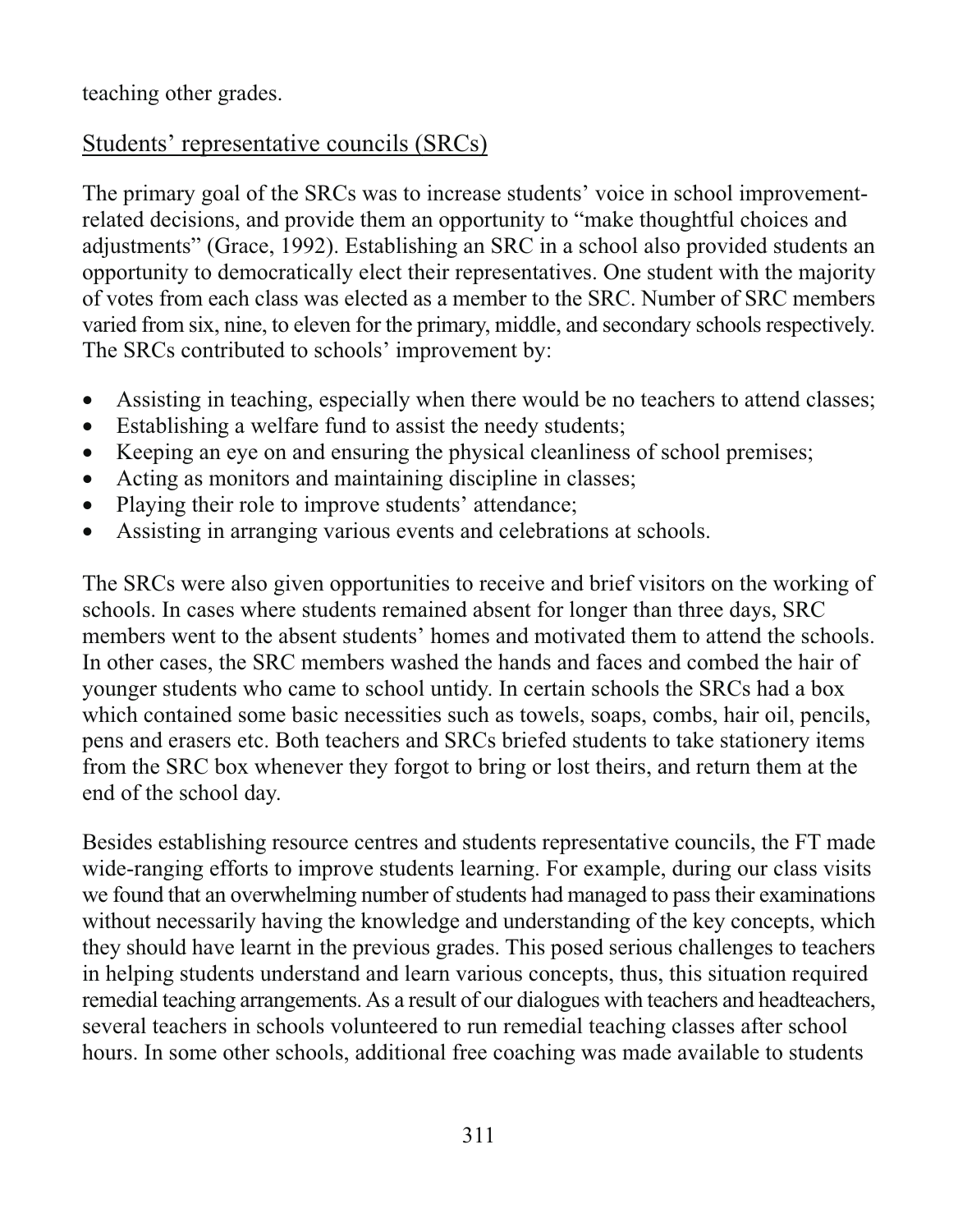teaching other grades.

## Students' representative councils (SRCs)

The primary goal of the SRCs was to increase students' voice in school improvementrelated decisions, and provide them an opportunity to "make thoughtful choices and adjustments" (Grace, 1992). Establishing an SRC in a school also provided students an opportunity to democratically elect their representatives. One student with the majority of votes from each class was elected as a member to the SRC. Number of SRC members varied from six, nine, to eleven for the primary, middle, and secondary schools respectively. The SRCs contributed to schools' improvement by:

- Assisting in teaching, especially when there would be no teachers to attend classes;  $\bullet$
- Establishing a welfare fund to assist the needy students;  $\bullet$
- Keeping an eye on and ensuring the physical cleanliness of school premises;  $\bullet$
- Acting as monitors and maintaining discipline in classes;  $\bullet$
- Playing their role to improve students' attendance;  $\bullet$
- Assisting in arranging various events and celebrations at schools.  $\bullet$

The SRCs were also given opportunities to receive and brief visitors on the working of schools. In cases where students remained absent for longer than three days, SRC members went to the absent students' homes and motivated them to attend the schools. In other cases, the SRC members washed the hands and faces and combed the hair of younger students who came to school untidy. In certain schools the SRCs had a box which contained some basic necessities such as towels, soaps, combs, hair oil, pencils, pens and erasers etc. Both teachers and SRCs briefed students to take stationery items from the SRC box whenever they forgot to bring or lost theirs, and return them at the end of the school day.

Besides establishing resource centres and students representative councils, the FT made wide-ranging efforts to improve students learning. For example, during our class visits we found that an overwhelming number of students had managed to pass their examinations without necessarily having the knowledge and understanding of the key concepts, which they should have learnt in the previous grades. This posed serious challenges to teachers in helping students understand and learn various concepts, thus, this situation required remedial teaching arrangements. As a result of our dialogues with teachers and headteachers, several teachers in schools volunteered to run remedial teaching classes after school hours. In some other schools, additional free coaching was made available to students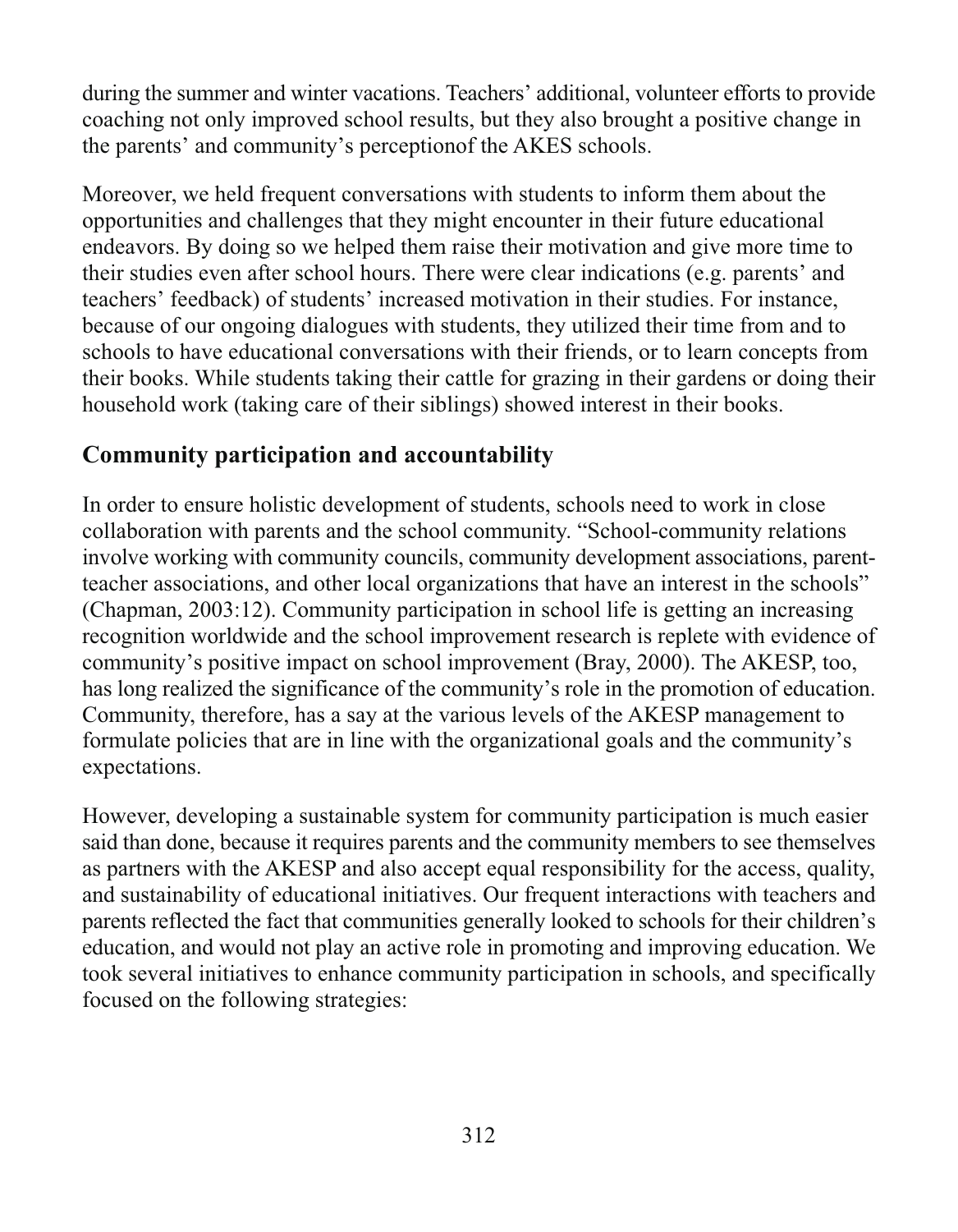during the summer and winter vacations. Teachers' additional, volunteer efforts to provide coaching not only improved school results, but they also brought a positive change in the parents' and community's perception of the AKES schools.

Moreover, we held frequent conversations with students to inform them about the opportunities and challenges that they might encounter in their future educational endeavors. By doing so we helped them raise their motivation and give more time to their studies even after school hours. There were clear indications (e.g. parents' and teachers' feedback) of students' increased motivation in their studies. For instance, because of our ongoing dialogues with students, they utilized their time from and to schools to have educational conversations with their friends, or to learn concepts from their books. While students taking their cattle for grazing in their gardens or doing their household work (taking care of their siblings) showed interest in their books.

## **Community participation and accountability**

In order to ensure holistic development of students, schools need to work in close collaboration with parents and the school community. "School-community relations involve working with community councils, community development associations, parentteacher associations, and other local organizations that have an interest in the schools" (Chapman, 2003:12). Community participation in school life is getting an increasing recognition worldwide and the school improvement research is replete with evidence of community's positive impact on school improvement (Bray, 2000). The AKESP, too, has long realized the significance of the community's role in the promotion of education. Community, therefore, has a say at the various levels of the AKESP management to formulate policies that are in line with the organizational goals and the community's expectations.

However, developing a sustainable system for community participation is much easier said than done, because it requires parents and the community members to see themselves as partners with the AKESP and also accept equal responsibility for the access, quality, and sustainability of educational initiatives. Our frequent interactions with teachers and parents reflected the fact that communities generally looked to schools for their children's education, and would not play an active role in promoting and improving education. We took several initiatives to enhance community participation in schools, and specifically focused on the following strategies: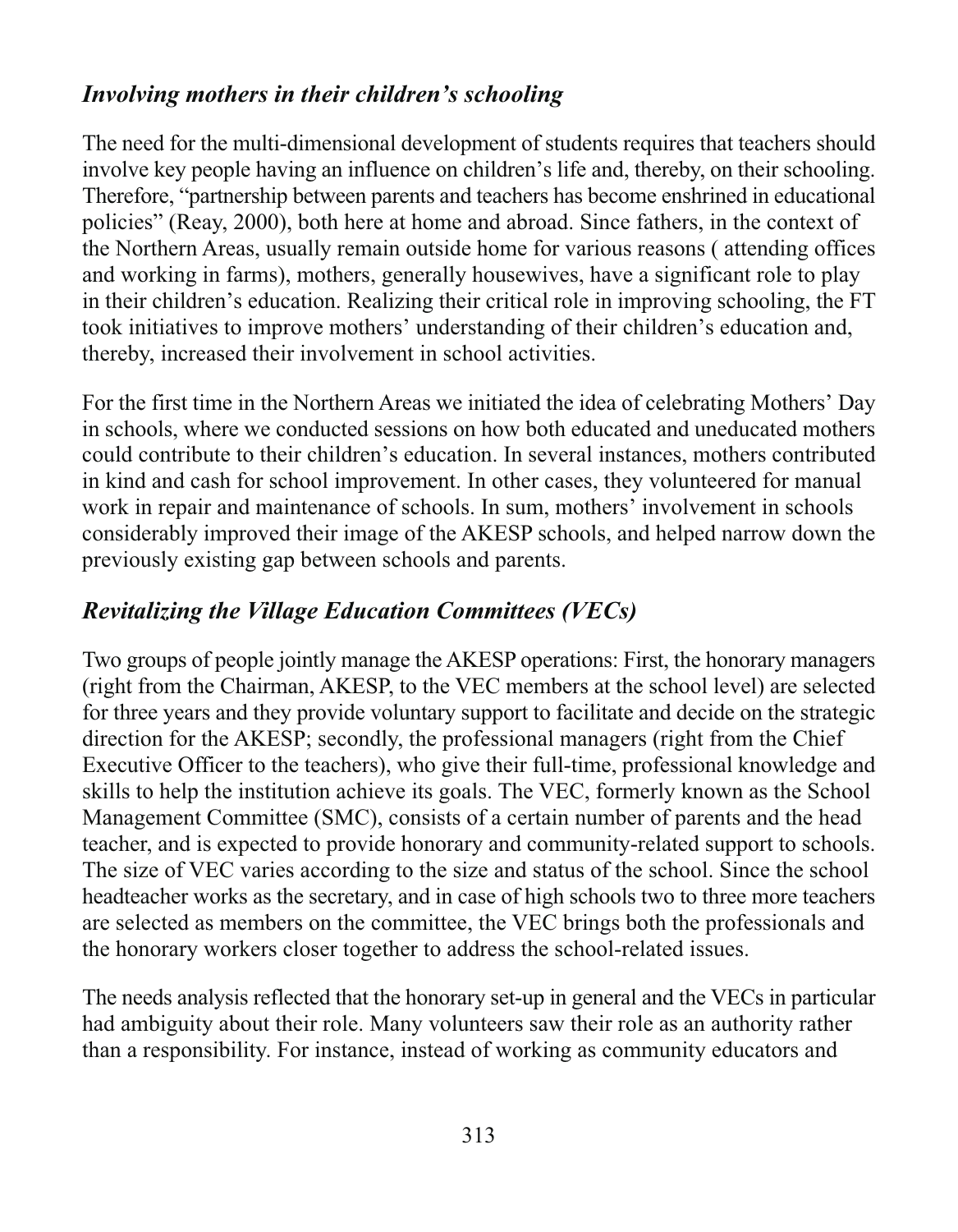## Involving mothers in their children's schooling

The need for the multi-dimensional development of students requires that teachers should involve key people having an influence on children's life and, thereby, on their schooling. Therefore, "partnership between parents and teachers has become enshrined in educational policies" (Reay, 2000), both here at home and abroad. Since fathers, in the context of the Northern Areas, usually remain outside home for various reasons (attending offices and working in farms), mothers, generally housewives, have a significant role to play in their children's education. Realizing their critical role in improving schooling, the FT took initiatives to improve mothers' understanding of their children's education and, thereby, increased their involvement in school activities.

For the first time in the Northern Areas we initiated the idea of celebrating Mothers' Day in schools, where we conducted sessions on how both educated and uneducated mothers could contribute to their children's education. In several instances, mothers contributed in kind and cash for school improvement. In other cases, they volunteered for manual work in repair and maintenance of schools. In sum, mothers' involvement in schools considerably improved their image of the AKESP schools, and helped narrow down the previously existing gap between schools and parents.

## **Revitalizing the Village Education Committees (VECs)**

Two groups of people jointly manage the AKESP operations: First, the honorary managers (right from the Chairman, AKESP, to the VEC members at the school level) are selected for three years and they provide voluntary support to facilitate and decide on the strategic direction for the AKESP; secondly, the professional managers (right from the Chief Executive Officer to the teachers), who give their full-time, professional knowledge and skills to help the institution achieve its goals. The VEC, formerly known as the School Management Committee (SMC), consists of a certain number of parents and the head teacher, and is expected to provide honorary and community-related support to schools. The size of VEC varies according to the size and status of the school. Since the school headteacher works as the secretary, and in case of high schools two to three more teachers are selected as members on the committee, the VEC brings both the professionals and the honorary workers closer together to address the school-related issues.

The needs analysis reflected that the honorary set-up in general and the VECs in particular had ambiguity about their role. Many volunteers saw their role as an authority rather than a responsibility. For instance, instead of working as community educators and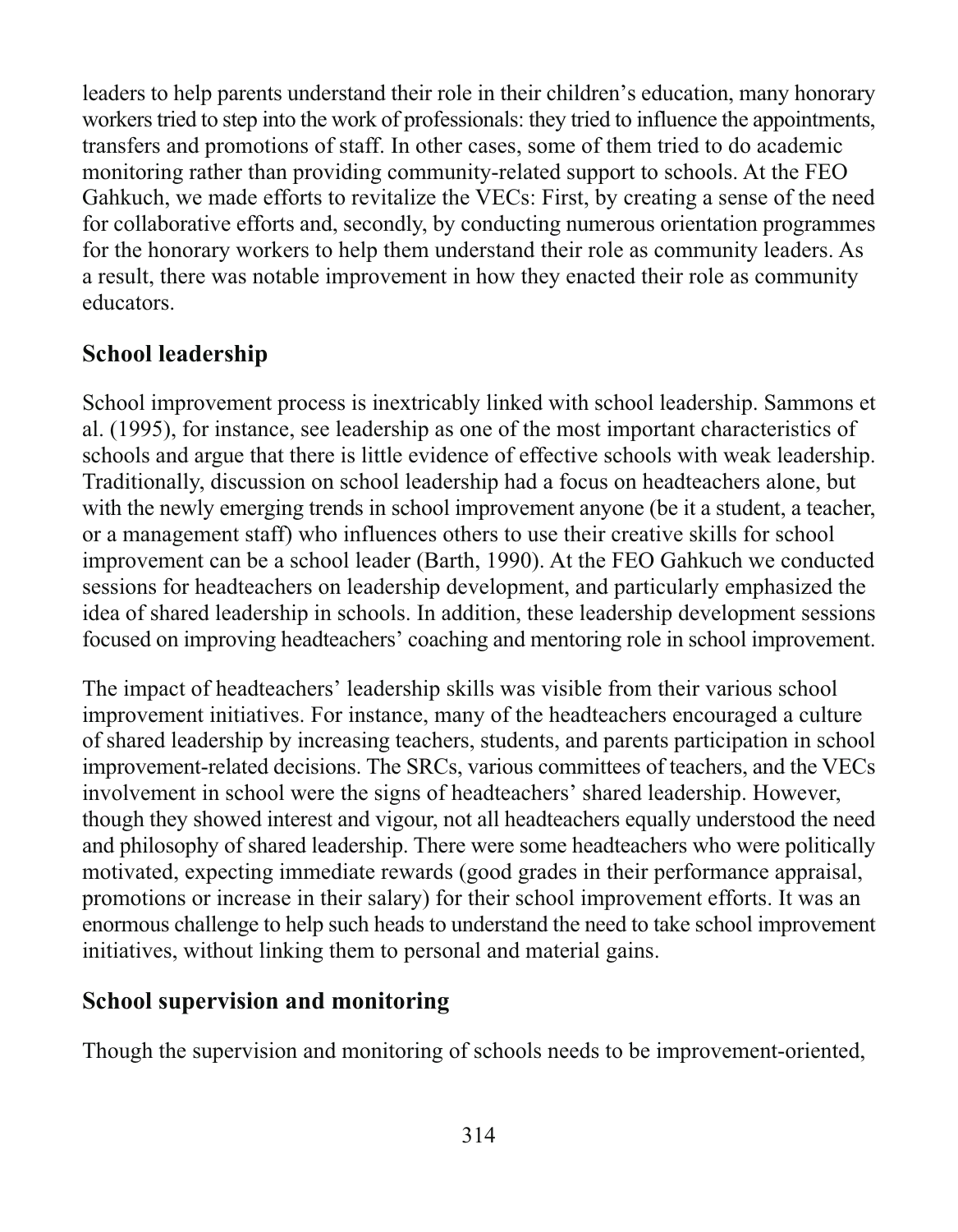leaders to help parents understand their role in their children's education, many honorary workers tried to step into the work of professionals: they tried to influence the appointments, transfers and promotions of staff. In other cases, some of them tried to do academic monitoring rather than providing community-related support to schools. At the FEO Gahkuch, we made efforts to revitalize the VECs: First, by creating a sense of the need for collaborative efforts and, secondly, by conducting numerous orientation programmes for the honorary workers to help them understand their role as community leaders. As a result, there was notable improvement in how they enacted their role as community educators.

## **School leadership**

School improvement process is inextricably linked with school leadership. Sammons et al. (1995), for instance, see leadership as one of the most important characteristics of schools and argue that there is little evidence of effective schools with weak leadership. Traditionally, discussion on school leadership had a focus on headteachers alone, but with the newly emerging trends in school improvement anyone (be it a student, a teacher, or a management staff) who influences others to use their creative skills for school improvement can be a school leader (Barth, 1990). At the FEO Gahkuch we conducted sessions for headteachers on leadership development, and particularly emphasized the idea of shared leadership in schools. In addition, these leadership development sessions focused on improving headteachers' coaching and mentoring role in school improvement.

The impact of headteachers' leadership skills was visible from their various school improvement initiatives. For instance, many of the headteachers encouraged a culture of shared leadership by increasing teachers, students, and parents participation in school improvement-related decisions. The SRCs, various committees of teachers, and the VECs involvement in school were the signs of headteachers' shared leadership. However, though they showed interest and vigour, not all headteachers equally understood the need and philosophy of shared leadership. There were some headteachers who were politically motivated, expecting immediate rewards (good grades in their performance appraisal, promotions or increase in their salary) for their school improvement efforts. It was an enormous challenge to help such heads to understand the need to take school improvement initiatives, without linking them to personal and material gains.

## **School supervision and monitoring**

Though the supervision and monitoring of schools needs to be improvement-oriented,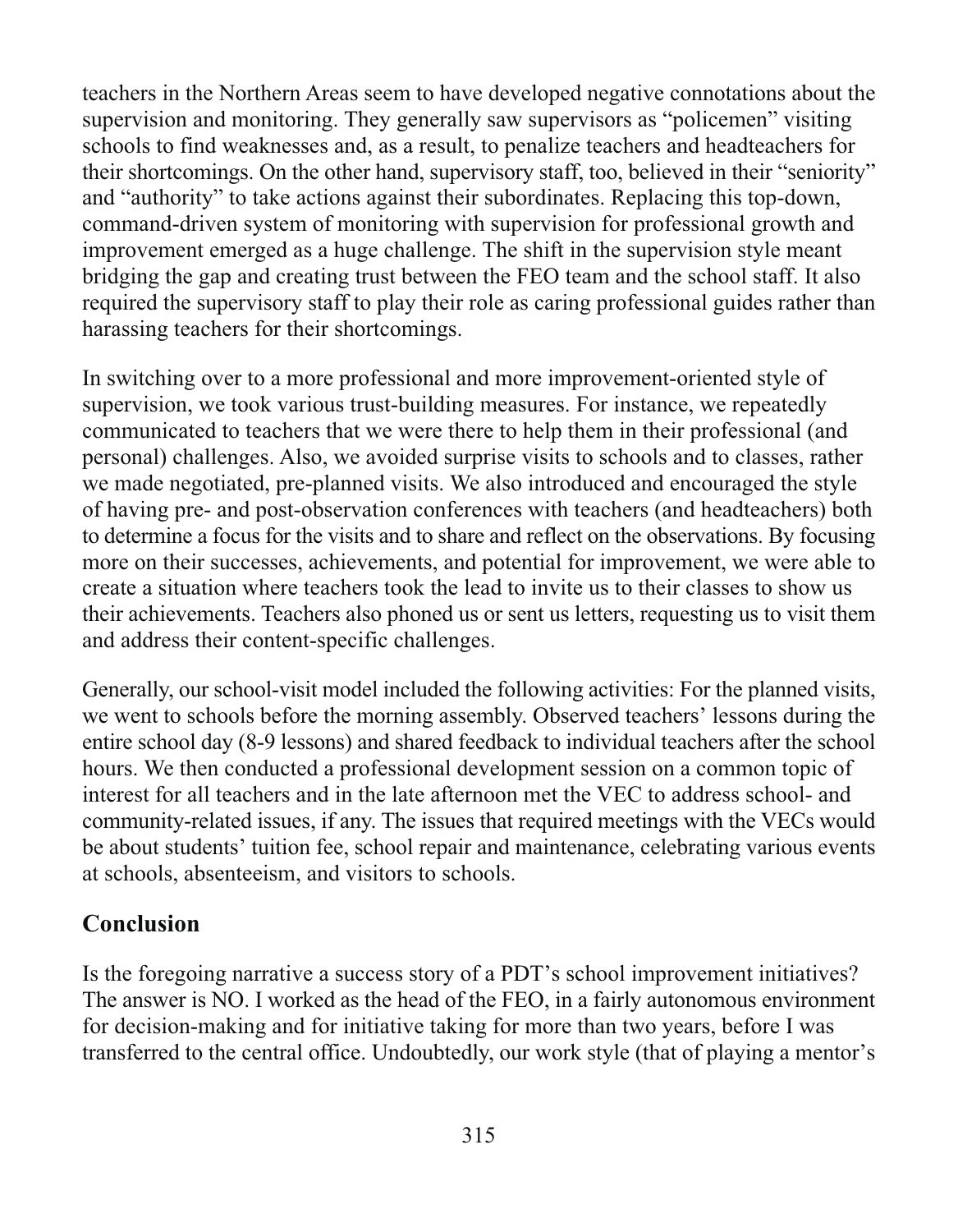teachers in the Northern Areas seem to have developed negative connotations about the supervision and monitoring. They generally saw supervisors as "policemen" visiting schools to find weaknesses and, as a result, to penalize teachers and headteachers for their shortcomings. On the other hand, supervisory staff, too, believed in their "seniority" and "authority" to take actions against their subordinates. Replacing this top-down, command-driven system of monitoring with supervision for professional growth and improvement emerged as a huge challenge. The shift in the supervision style meant bridging the gap and creating trust between the FEO team and the school staff. It also required the supervisory staff to play their role as caring professional guides rather than harassing teachers for their shortcomings.

In switching over to a more professional and more improvement-oriented style of supervision, we took various trust-building measures. For instance, we repeatedly communicated to teachers that we were there to help them in their professional (and personal) challenges. Also, we avoided surprise visits to schools and to classes, rather we made negotiated, pre-planned visits. We also introduced and encouraged the style of having pre- and post-observation conferences with teachers (and headteachers) both to determine a focus for the visits and to share and reflect on the observations. By focusing more on their successes, achievements, and potential for improvement, we were able to create a situation where teachers took the lead to invite us to their classes to show us their achievements. Teachers also phoned us or sent us letters, requesting us to visit them and address their content-specific challenges.

Generally, our school-visit model included the following activities: For the planned visits, we went to schools before the morning assembly. Observed teachers' lessons during the entire school day (8-9 lessons) and shared feedback to individual teachers after the school hours. We then conducted a professional development session on a common topic of interest for all teachers and in the late afternoon met the VEC to address school- and community-related issues, if any. The issues that required meetings with the VECs would be about students' tuition fee, school repair and maintenance, celebrating various events at schools, absenteeism, and visitors to schools.

### **Conclusion**

Is the foregoing narrative a success story of a PDT's school improvement initiatives? The answer is NO. I worked as the head of the FEO, in a fairly autonomous environment for decision-making and for initiative taking for more than two years, before I was transferred to the central office. Undoubtedly, our work style (that of playing a mentor's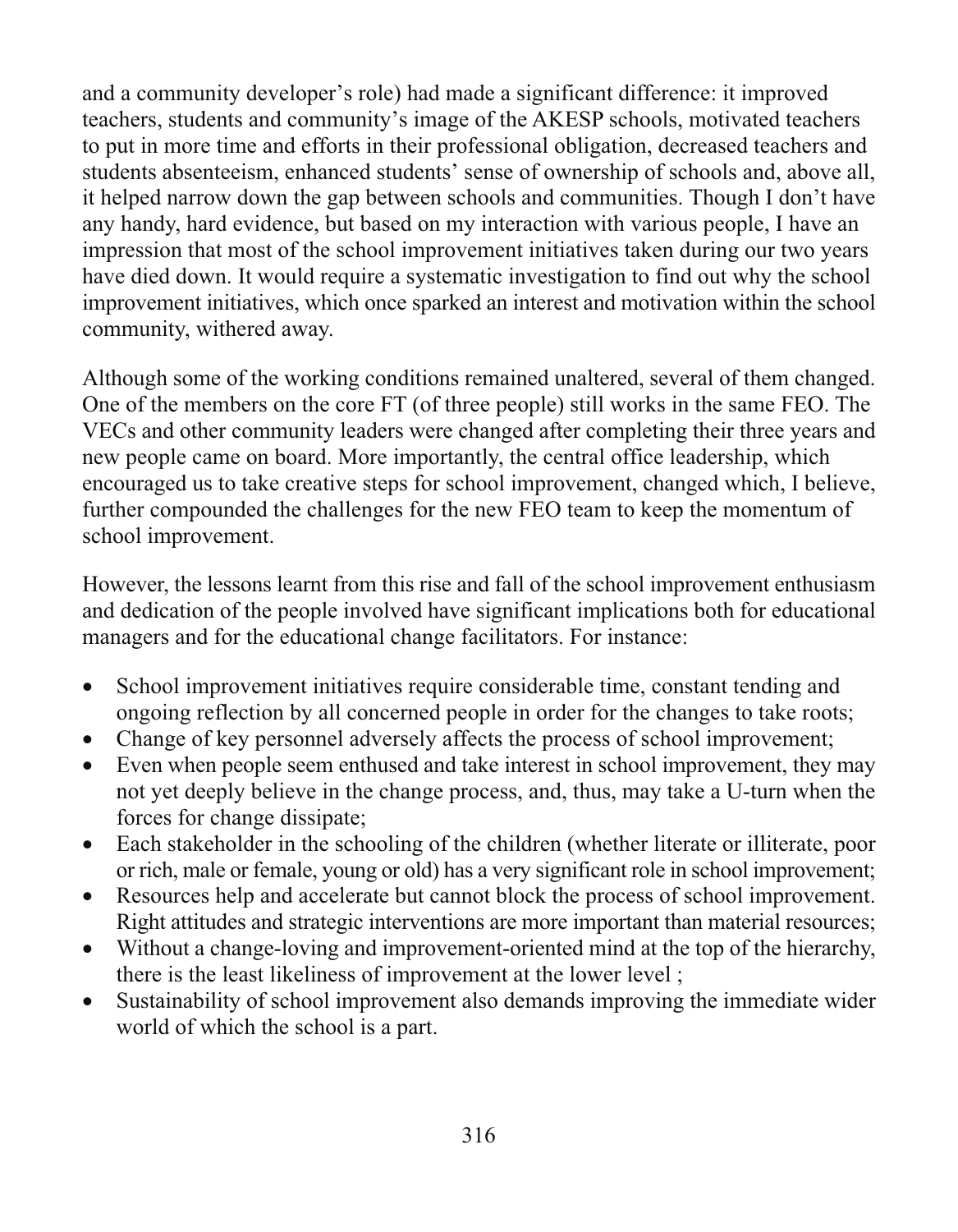and a community developer's role) had made a significant difference: it improved teachers, students and community's image of the AKESP schools, motivated teachers to put in more time and efforts in their professional obligation, decreased teachers and students absenteeism, enhanced students' sense of ownership of schools and, above all, it helped narrow down the gap between schools and communities. Though I don't have any handy, hard evidence, but based on my interaction with various people, I have an impression that most of the school improvement initiatives taken during our two years have died down. It would require a systematic investigation to find out why the school improvement initiatives, which once sparked an interest and motivation within the school community, withered away.

Although some of the working conditions remained unaltered, several of them changed. One of the members on the core FT (of three people) still works in the same FEO. The VECs and other community leaders were changed after completing their three years and new people came on board. More importantly, the central office leadership, which encouraged us to take creative steps for school improvement, changed which, I believe, further compounded the challenges for the new FEO team to keep the momentum of school improvement.

However, the lessons learnt from this rise and fall of the school improvement enthusiasm and dedication of the people involved have significant implications both for educational managers and for the educational change facilitators. For instance:

- School improvement initiatives require considerable time, constant tending and  $\bullet$ ongoing reflection by all concerned people in order for the changes to take roots;
- Change of key personnel adversely affects the process of school improvement;  $\bullet$
- Even when people seem enthused and take interest in school improvement, they may  $\bullet$ not yet deeply believe in the change process, and, thus, may take a U-turn when the forces for change dissipate;
- Each stakeholder in the schooling of the children (whether literate or illiterate, poor  $\bullet$ or rich, male or female, young or old) has a very significant role in school improvement;
- Resources help and accelerate but cannot block the process of school improvement.  $\bullet$ Right attitudes and strategic interventions are more important than material resources;
- Without a change-loving and improvement-oriented mind at the top of the hierarchy,  $\bullet$ there is the least likeliness of improvement at the lower level;
- Sustainability of school improvement also demands improving the immediate wider  $\bullet$ world of which the school is a part.